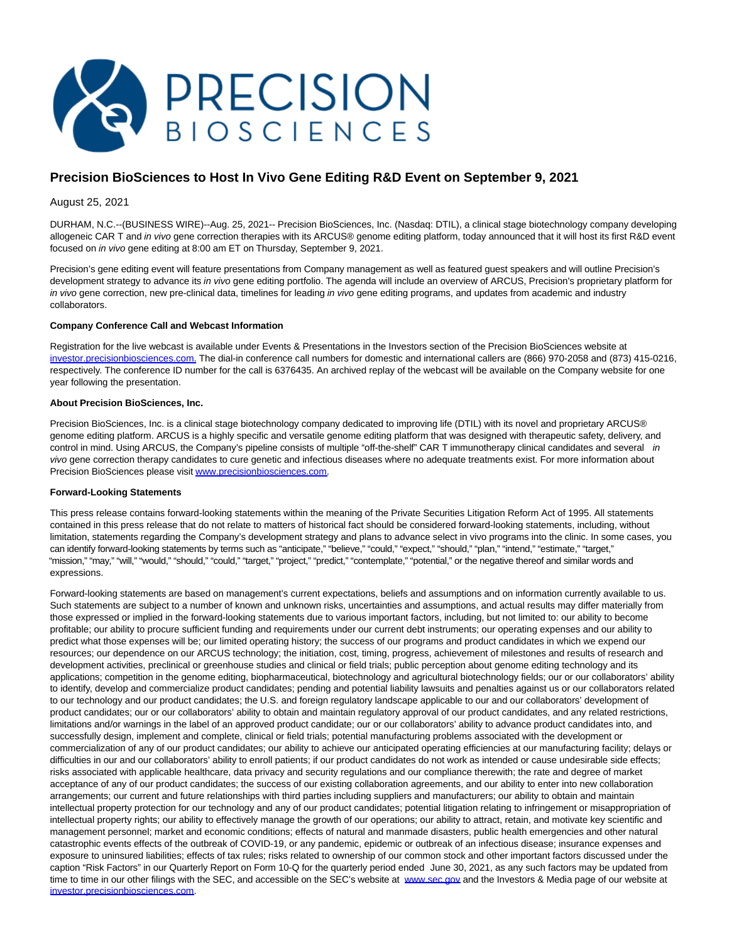

## **Precision BioSciences to Host In Vivo Gene Editing R&D Event on September 9, 2021**

August 25, 2021

DURHAM, N.C.--(BUSINESS WIRE)--Aug. 25, 2021-- Precision BioSciences, Inc. (Nasdaq: DTIL), a clinical stage biotechnology company developing allogeneic CAR T and in vivo gene correction therapies with its ARCUS® genome editing platform, today announced that it will host its first R&D event focused on in vivo gene editing at 8:00 am ET on Thursday, September 9, 2021.

Precision's gene editing event will feature presentations from Company management as well as featured guest speakers and will outline Precision's development strategy to advance its in vivo gene editing portfolio. The agenda will include an overview of ARCUS, Precision's proprietary platform for in vivo gene correction, new pre-clinical data, timelines for leading in vivo gene editing programs, and updates from academic and industry collaborators.

## **Company Conference Call and Webcast Information**

Registration for the live webcast is available under Events & Presentations in the Investors section of the Precision BioSciences website at [investor.precisionbiosciences.com. T](https://cts.businesswire.com/ct/CT?id=smartlink&url=https%3A%2F%2Finvestor.precisionbiosciences.com%2F&esheet=52481525&newsitemid=20210825005160&lan=en-US&anchor=investor.precisionbiosciences.com.&index=1&md5=079897808a6b49840a025b1c0624745f)he dial-in conference call numbers for domestic and international callers are (866) 970-2058 and (873) 415-0216, respectively. The conference ID number for the call is 6376435. An archived replay of the webcast will be available on the Company website for one year following the presentation.

## **About Precision BioSciences, Inc.**

Precision BioSciences, Inc. is a clinical stage biotechnology company dedicated to improving life (DTIL) with its novel and proprietary ARCUS® genome editing platform. ARCUS is a highly specific and versatile genome editing platform that was designed with therapeutic safety, delivery, and control in mind. Using ARCUS, the Company's pipeline consists of multiple "off-the-shelf" CAR T immunotherapy clinical candidates and several in vivo gene correction therapy candidates to cure genetic and infectious diseases where no adequate treatments exist. For more information about Precision BioSciences please visi[t www.precisionbiosciences.com.](https://cts.businesswire.com/ct/CT?id=smartlink&url=http%3A%2F%2Fwww.precisionbiosciences.com&esheet=52481525&newsitemid=20210825005160&lan=en-US&anchor=www.precisionbiosciences.com&index=2&md5=9d59a075b504b3250b4e85583bdcbd56)

## **Forward-Looking Statements**

This press release contains forward-looking statements within the meaning of the Private Securities Litigation Reform Act of 1995. All statements contained in this press release that do not relate to matters of historical fact should be considered forward-looking statements, including, without limitation, statements regarding the Company's development strategy and plans to advance select in vivo programs into the clinic. In some cases, you can identify forward-looking statements by terms such as "anticipate," "believe," "could," "expect," "should," "plan," "intend," "estimate," "target," "mission," "may," "will," "would," "should," "could," "target," "project," "predict," "contemplate," "potential," or the negative thereof and similar words and expressions.

Forward-looking statements are based on management's current expectations, beliefs and assumptions and on information currently available to us. Such statements are subject to a number of known and unknown risks, uncertainties and assumptions, and actual results may differ materially from those expressed or implied in the forward-looking statements due to various important factors, including, but not limited to: our ability to become profitable; our ability to procure sufficient funding and requirements under our current debt instruments; our operating expenses and our ability to predict what those expenses will be; our limited operating history; the success of our programs and product candidates in which we expend our resources; our dependence on our ARCUS technology; the initiation, cost, timing, progress, achievement of milestones and results of research and development activities, preclinical or greenhouse studies and clinical or field trials; public perception about genome editing technology and its applications; competition in the genome editing, biopharmaceutical, biotechnology and agricultural biotechnology fields; our or our collaborators' ability to identify, develop and commercialize product candidates; pending and potential liability lawsuits and penalties against us or our collaborators related to our technology and our product candidates; the U.S. and foreign regulatory landscape applicable to our and our collaborators' development of product candidates; our or our collaborators' ability to obtain and maintain regulatory approval of our product candidates, and any related restrictions, limitations and/or warnings in the label of an approved product candidate; our or our collaborators' ability to advance product candidates into, and successfully design, implement and complete, clinical or field trials; potential manufacturing problems associated with the development or commercialization of any of our product candidates; our ability to achieve our anticipated operating efficiencies at our manufacturing facility; delays or difficulties in our and our collaborators' ability to enroll patients; if our product candidates do not work as intended or cause undesirable side effects; risks associated with applicable healthcare, data privacy and security regulations and our compliance therewith; the rate and degree of market acceptance of any of our product candidates; the success of our existing collaboration agreements, and our ability to enter into new collaboration arrangements; our current and future relationships with third parties including suppliers and manufacturers; our ability to obtain and maintain intellectual property protection for our technology and any of our product candidates; potential litigation relating to infringement or misappropriation of intellectual property rights; our ability to effectively manage the growth of our operations; our ability to attract, retain, and motivate key scientific and management personnel; market and economic conditions; effects of natural and manmade disasters, public health emergencies and other natural catastrophic events effects of the outbreak of COVID-19, or any pandemic, epidemic or outbreak of an infectious disease; insurance expenses and exposure to uninsured liabilities; effects of tax rules; risks related to ownership of our common stock and other important factors discussed under the caption "Risk Factors" in our Quarterly Report on Form 10-Q for the quarterly period ended June 30, 2021, as any such factors may be updated from time to time in our other filings with the SEC, and accessible on the SEC's website at [www.sec.gov a](https://cts.businesswire.com/ct/CT?id=smartlink&url=http%3A%2F%2Fwww.sec.gov&esheet=52481525&newsitemid=20210825005160&lan=en-US&anchor=www.sec.gov&index=3&md5=b86019f44dbfeecdf1ec96fdbc93c230)nd the Investors & Media page of our website at [investor.precisionbiosciences.com.](https://cts.businesswire.com/ct/CT?id=smartlink&url=http%3A%2F%2Finvestor.precisionbiosciences.com%2F&esheet=52481525&newsitemid=20210825005160&lan=en-US&anchor=investor.precisionbiosciences.com&index=4&md5=37cb3fd3b7a6d2e4c5c0ae6d9c73ce28)